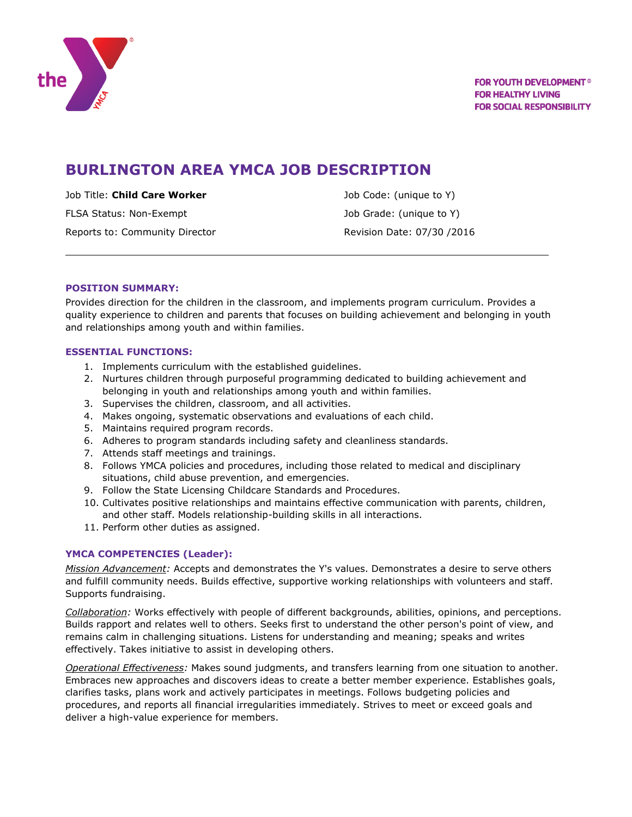

# **BURLINGTON AREA YMCA JOB DESCRIPTION**

Job Title: **Child Care Worker Child Care Worker** Job Code: (unique to Y) FLSA Status: Non-Exempt The Control of Control of Job Grade: (unique to Y)

Reports to: Community Director **Revision Date: 07/30 /2016** 

## **POSITION SUMMARY:**

Provides direction for the children in the classroom, and implements program curriculum. Provides a quality experience to children and parents that focuses on building achievement and belonging in youth and relationships among youth and within families.

## **ESSENTIAL FUNCTIONS:**

- 1. Implements curriculum with the established guidelines.
- 2. Nurtures children through purposeful programming dedicated to building achievement and belonging in youth and relationships among youth and within families.
- 3. Supervises the children, classroom, and all activities.
- 4. Makes ongoing, systematic observations and evaluations of each child.
- 5. Maintains required program records.
- 6. Adheres to program standards including safety and cleanliness standards.
- 7. Attends staff meetings and trainings.
- 8. Follows YMCA policies and procedures, including those related to medical and disciplinary situations, child abuse prevention, and emergencies.
- 9. Follow the State Licensing Childcare Standards and Procedures.
- 10. Cultivates positive relationships and maintains effective communication with parents, children, and other staff. Models relationship-building skills in all interactions.
- 11. Perform other duties as assigned.

# **YMCA COMPETENCIES (Leader):**

*Mission Advancement:* Accepts and demonstrates the Y's values. Demonstrates a desire to serve others and fulfill community needs. Builds effective, supportive working relationships with volunteers and staff. Supports fundraising.

*Collaboration:* Works effectively with people of different backgrounds, abilities, opinions, and perceptions. Builds rapport and relates well to others. Seeks first to understand the other person's point of view, and remains calm in challenging situations. Listens for understanding and meaning; speaks and writes effectively. Takes initiative to assist in developing others.

*Operational Effectiveness:* Makes sound judgments, and transfers learning from one situation to another. Embraces new approaches and discovers ideas to create a better member experience. Establishes goals, clarifies tasks, plans work and actively participates in meetings. Follows budgeting policies and procedures, and reports all financial irregularities immediately. Strives to meet or exceed goals and deliver a high-value experience for members.